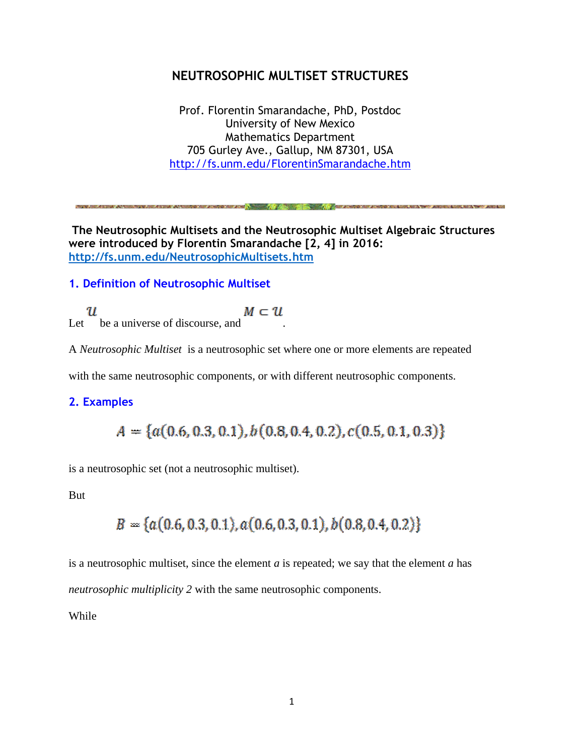## **NEUTROSOPHIC MULTISET STRUCTURES**

Prof. Florentin Smarandache, PhD, Postdoc University of New Mexico Mathematics Department 705 Gurley Ave., Gallup, NM 87301, USA <http://fs.unm.edu/FlorentinSmarandache.htm>

**REAL ARRAIGNMENTS WHO CARD RESIDENTS AND A TOYOTA CHECK** 

**The Neutrosophic Multisets and the Neutrosophic Multiset Algebraic Structures were introduced by Florentin Smarandache [2, 4] in 2016: <http://fs.unm.edu/NeutrosophicMultisets.htm>**

## **1. Definition of Neutrosophic Multiset**

 $\mathcal{U}$ <br>Let be a universe of discourse, and  $M \subset \mathcal{U}$ 

A *Neutrosophic Multiset* is a neutrosophic set where one or more elements are repeated

with the same neutrosophic components, or with different neutrosophic components.

### **2. Examples**

 $A = \{a(0.6, 0.3, 0.1), b(0.8, 0.4, 0.2), c(0.5, 0.1, 0.3)\}\$ 

is a neutrosophic set (not a neutrosophic multiset).

But

$$
B = \{a(0.6, 0.3, 0.1), a(0.6, 0.3, 0.1), b(0.8, 0.4, 0.2)\}
$$

is a neutrosophic multiset, since the element *a* is repeated; we say that the element *a* has *neutrosophic multiplicity 2* with the same neutrosophic components.

While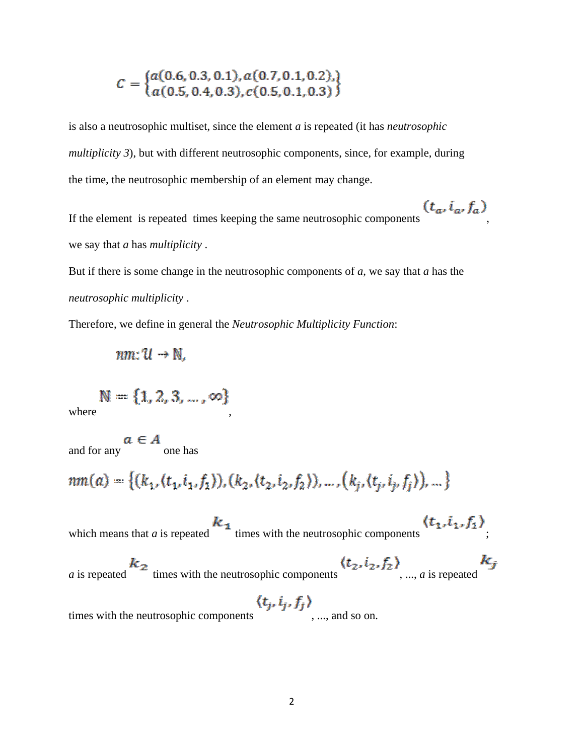$$
C = \left\{ \begin{matrix} a(0.6, 0.3, 0.1), a(0.7, 0.1, 0.2), \\ a(0.5, 0.4, 0.3), c(0.5, 0.1, 0.3) \end{matrix} \right\}
$$

is also a neutrosophic multiset, since the element *a* is repeated (it has *neutrosophic multiplicity 3*), but with different neutrosophic components, since, for example, during the time, the neutrosophic membership of an element may change.

If the element is repeated times keeping the same neutrosophic components  $(t_a, i_a, f_a)$ we say that *a* has *multiplicity* .

But if there is some change in the neutrosophic components of *a*, we say that *a* has the *neutrosophic multiplicity* .

Therefore, we define in general the *Neutrosophic Multiplicity Function*:

 $nm: U \rightarrow N$ .

 $\mathbb{N} = \{1, 2, 3, \dots, \infty\}$ <br>where

 $a \in A$ <br>and for any  $a \in A$ 

 $nm(a) = \{(k_1, (t_1, i_1, f_1)), (k_2, (t_2, i_2, f_2)), ..., (k_i, (t_i, i_i, f_i)), ...\}$ 

which means that *a* is repeated  $k_1$  times with the neutrosophic components  $\langle t_1, i_1, f_1 \rangle$ .

*a* is repeated  $k_2$  times with the neutrosophic components  $(t_2, i_2, f_2)$ , ..., *a* is repeated

times with the neutrosophic components  $\langle t_j, i_j, f_j \rangle$ , ..., and so on.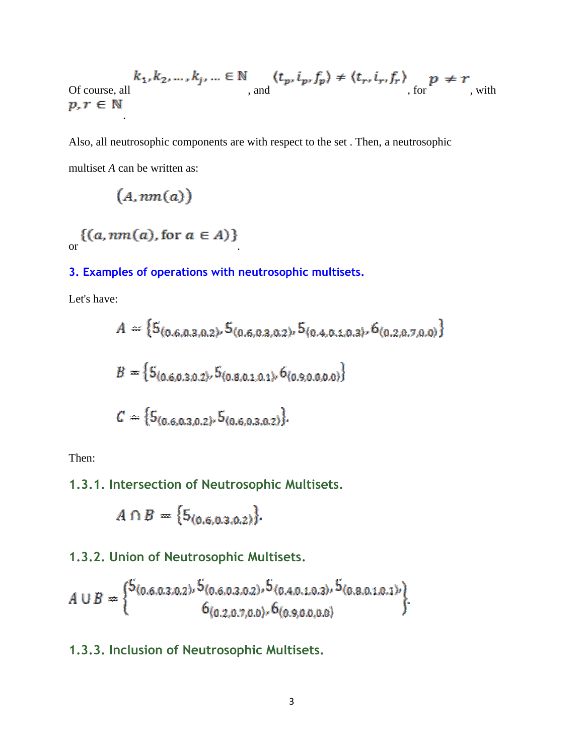$$
k_1, k_2, \dots, k_j, \dots \in \mathbb{N} \quad (t_p, i_p, f_p) \neq \langle t_r, i_r, f_r \rangle \quad p \neq r
$$
\nOf course, all

\n
$$
p, r \in \mathbb{N} \quad \text{with}
$$

Also, all neutrosophic components are with respect to the set . Then, a neutrosophic multiset *A* can be written as:

$$
(A, \mathit{nm}(a))
$$

.

 $\{(a, nm(a), \text{for } a \in A)\}\$ 

## **3. Examples of operations with neutrosophic multisets.**

Let's have:

$$
A = \{5_{(0.6,0.3,0.2)}, 5_{(0.6,0.3,0.2)}, 5_{(0.4,0.3,0.3)}, 6_{(0.2,0.7,0.0)}\}
$$
  

$$
B = \{5_{(0.6,0.3,0.2)}, 5_{(0.8,0.2,0.1)}, 6_{(0.9,0.0,0.0)}\}
$$
  

$$
C = \{5_{(0.6,0.3,0.2)}, 5_{(0.6,0.3,0.2)}\}
$$

Then:

# **1.3.1. Intersection of Neutrosophic Multisets.**

$$
A \cap B = \{5_{(0,6,0,3,0,2)}\}.
$$

## **1.3.2. Union of Neutrosophic Multisets.**

$$
A \cup B = \begin{Bmatrix} 5_{(0.6,0.3,0.2)}, 5_{(0.6,0.3,0.2)}, 5_{(0.4,0.1,0.3)}, 5_{(0.8,0.1,0.1)} \\ 6_{(0.2,0.7,0.0)}, 6_{(0.9,0.0,0.0)} \end{Bmatrix}
$$

**1.3.3. Inclusion of Neutrosophic Multisets.**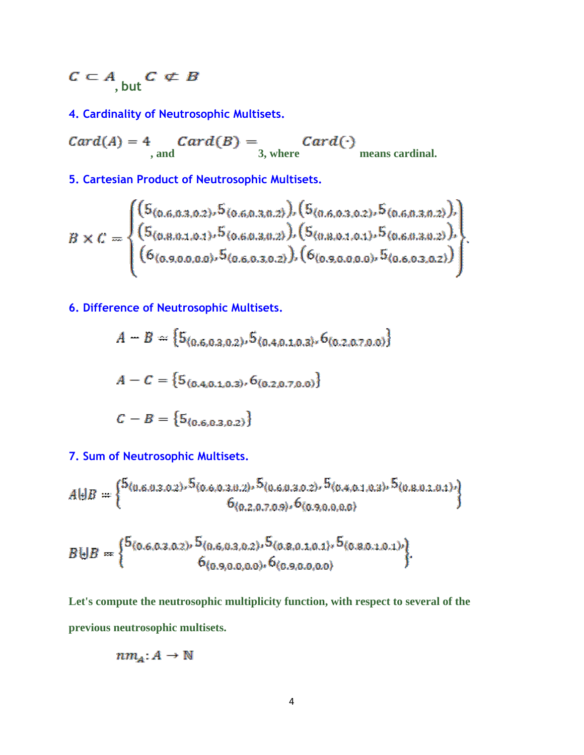$$
C\subset A_{\text{, but}}C\not\subset B
$$

**4. Cardinality of Neutrosophic Multisets.**

 $Card(A) = 4$   $Card(B) =$   $Card(\cdot)$ <br>3, where means cardinal.

**5. Cartesian Product of Neutrosophic Multisets.**

$$
B \times C = \begin{cases} (5_{(0.6,0.3,0.2)}, 5_{(0.6,0.3,0.2)}), (5_{(0.6,0.3,0.2)}, 5_{(0.6,0.3,0.2)}), \\ (5_{(0.8,0.1,0.1)}, 5_{(0.6,0.3,0.2)}), (5_{(0.8,0.1,0.1)}, 5_{(0.6,0.3,0.2)}), \\ (6_{(0.9,0.0,0.0)}, 5_{(0.6,0.3,0.2)}), (6_{(0.9,0.0,0.0)}, 5_{(0.6,0.3,0.2)}) \end{cases}
$$

**6. Difference of Neutrosophic Multisets.**

$$
A - B = \{5_{(0.6, 0.3, 0.2)}, 5_{(0.4, 0.1, 0.3)}, 6_{(0.2, 0.7, 0.0)}\}
$$
  

$$
A - C = \{5_{(0.4, 0.1, 0.3)}, 6_{(0.2, 0.7, 0.0)}\}
$$
  

$$
C - B = \{5_{(0.6, 0.3, 0.2)}\}
$$

**7. Sum of Neutrosophic Multisets.**

$$
A \oplus B = \begin{cases} 5(0.6.0.3.0.2) \cdot 5(0.6.0.3.0.2) \cdot 5(0.6.0.3.0.2) \cdot 5(0.4.0.1.0.3) \cdot 5(0.8.0.3.0.3) \cdot 4(0.8.0.3.0.3) \cdot 5(0.8.0.3.0.3) \cdot 5(0.8.0.3.0.3) \cdot 5(0.8.0.3.0.3) \cdot 5(0.8.0.3.0.3) \cdot 5(0.8.0.3.0.3) \cdot 5(0.8.0.3.0.3) \cdot 5(0.8.0.3.0.3) \cdot 5(0.8.0.3.0.3) \cdot 5(0.8.0.3.0.3) \cdot 5(0.8.0.3.0.3) \cdot 5(0.8.0.3.0.3) \cdot 5(0.8.0.3.0.3) \cdot 5(0.8.0.3.0.3) \cdot 5(0.8.0.3.0.3) \cdot 5(0.8.0.3.0.3) \cdot 5(0.8.0.3.0.3) \cdot 5(0.8.0.3.0.3) \cdot 5(0.8.0.3.0.3) \cdot 5(0.8.0.3.0.3) \cdot 5(0.8.0.3.0.3) \cdot 5(0.8.0.3.0.3) \cdot 5(0.8.0.3.0.3) \cdot 5(0.8.0.3.0.3) \cdot 5(0.8.0.3.0.3) \cdot 5(0.8.0.3.0.3) \cdot 5(0.8.0.3.0.3) \cdot 5(0.8.0.3.0.3) \cdot 5(0.8.0.3.0.3) \cdot 5(0.8.0.3.0.3) \cdot 5(0.8.0.3.0.3) \cdot 5(0.8.0.3.0.3) \cdot 5(0.8.0.3.0.3) \cdot 5(0.8.0.3.0.3) \cdot 5(0.8.0.3.0.3) \cdot 5(0.8.0.3.0.3) \cdot 5(0.8.0.3.0.3) \cdot 5(0.8.0.3.0.3) \cdot 5(0.8.0.3.0.3) \cdot
$$

$$
B \biguplus B = \begin{cases} 5_{(0.6,0.3,0.2)}, 5_{(0.6,0.3,0.2)}, 5_{(0.8,0.1,0.1)}, 5_{(0.8,0.1,0.1)} \\ 6_{(0.9,0.0,0.0)}, 6_{(0.9,0.0,0.0)} \end{cases}
$$

**Let's compute the neutrosophic multiplicity function, with respect to several of the previous neutrosophic multisets.**

$$
nm_A: A \to \mathbb{N}
$$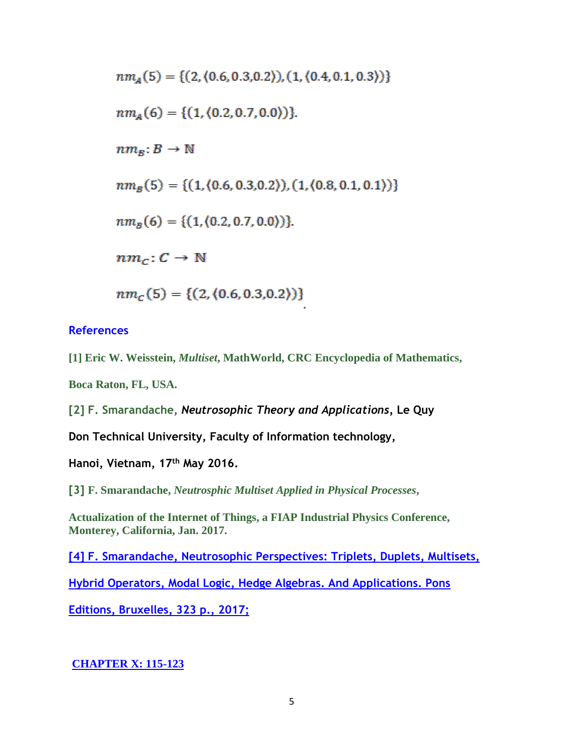$$
nm_A(5) = \{ (2, (0.6, 0.3, 0.2)), (1, (0.4, 0.1, 0.3)) \}
$$
  
\n
$$
nm_A(6) = \{ (1, (0.2, 0.7, 0.0)) \}
$$
.  
\n
$$
nm_B: B \to \mathbb{N}
$$
  
\n
$$
nm_B(5) = \{ (1, (0.6, 0.3, 0.2)), (1, (0.8, 0.1, 0.1)) \}
$$
  
\n
$$
nm_B(6) = \{ (1, (0.2, 0.7, 0.0)) \}
$$
.  
\n
$$
nm_C: C \to \mathbb{N}
$$
  
\n
$$
nm_C(5) = \{ (2, (0.6, 0.3, 0.2)) \}
$$

### **References**

**[1] Eric W. Weisstein,** *Multiset***, MathWorld, CRC Encyclopedia of Mathematics,**

**Boca Raton, FL, USA.**

**[2] F. Smarandache,** *Neutrosophic Theory and Applications,* **Le Quy** 

**Don Technical University, Faculty of Information technology,** 

**Hanoi, Vietnam, 17th May 2016.**

**[3] F. Smarandache,** *Neutrosphic Multiset Applied in Physical Processes***,** 

**Actualization of the Internet of Things, a FIAP Industrial Physics Conference, Monterey, California, Jan. 2017.**

**[\[4\] F. Smarandache, Neutrosophic Perspectives: Triplets, Duplets, Multisets,](http://fs.unm.edu/NeutrosophicPerspectives-ed2.pdf)** 

**[Hybrid Operators, Modal Logic, Hedge Algebras. And Applications. Pons](http://fs.unm.edu/NeutrosophicPerspectives-ed2.pdf)** 

**[Editions, Bruxelles, 323 p., 2017;](http://fs.unm.edu/NeutrosophicPerspectives-ed2.pdf)**

### **[CHAPTER X:](http://fs.unm.edu/NeutrosophicPerspectives-ed2.pdf) 115-123**